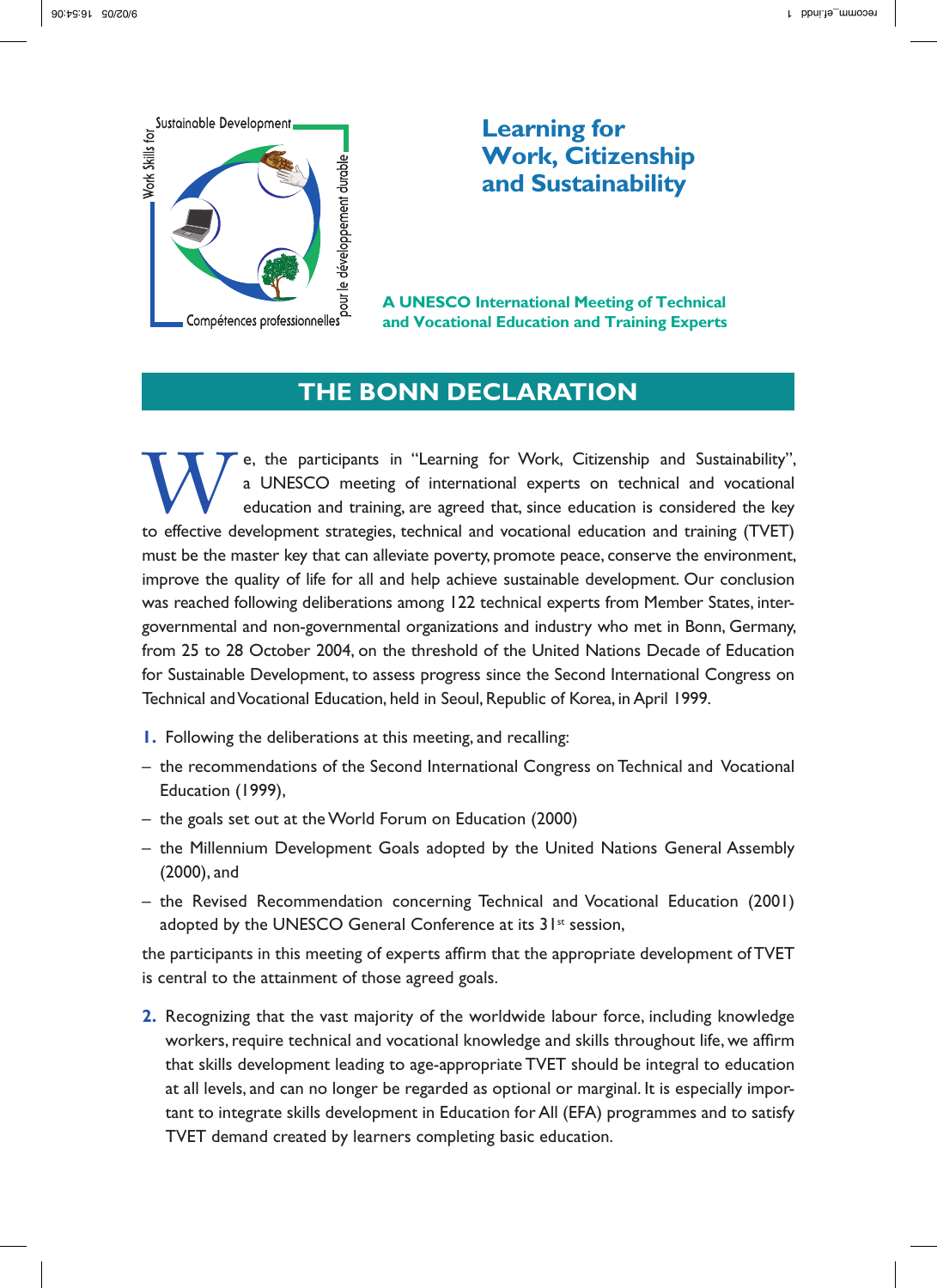

## **Learning for Work, Citizenship** and Sustainability

**A UNESCO International Meeting of Technical** and Vocational Education and Training Experts

## **THE BONN DECLARATION**

e, the participants in "Learning for Work, Citizenship and Sustainability", a UNESCO meeting of international experts on technical and vocational education and training, are agreed that, since education is considered the key to effective development strategies, technical and vocational education and training (TVET) must be the master key that can alleviate poverty, promote peace, conserve the environment, improve the quality of life for all and help achieve sustainable development. Our conclusion was reached following deliberations among 122 technical experts from Member States, intergovernmental and non-governmental organizations and industry who met in Bonn, Germany, from 25 to 28 October 2004, on the threshold of the United Nations Decade of Education for Sustainable Development, to assess progress since the Second International Congress on Technical and Vocational Education, held in Seoul, Republic of Korea, in April 1999.

- I. Following the deliberations at this meeting, and recalling:
- the recommendations of the Second International Congress on Technical and Vocational Education (1999),
- the goals set out at the World Forum on Education (2000)
- the Millennium Development Goals adopted by the United Nations General Assembly (2000), and
- the Revised Recommendation concerning Technical and Vocational Education (2001) adopted by the UNESCO General Conference at its 31<sup>st</sup> session,

the participants in this meeting of experts affirm that the appropriate development of TVET is central to the attainment of those agreed goals.

2. Recognizing that the vast majority of the worldwide labour force, including knowledge workers, require technical and vocational knowledge and skills throughout life, we affirm that skills development leading to age-appropriate TVET should be integral to education at all levels, and can no longer be regarded as optional or marginal. It is especially important to integrate skills development in Education for All (EFA) programmes and to satisfy TVET demand created by learners completing basic education.